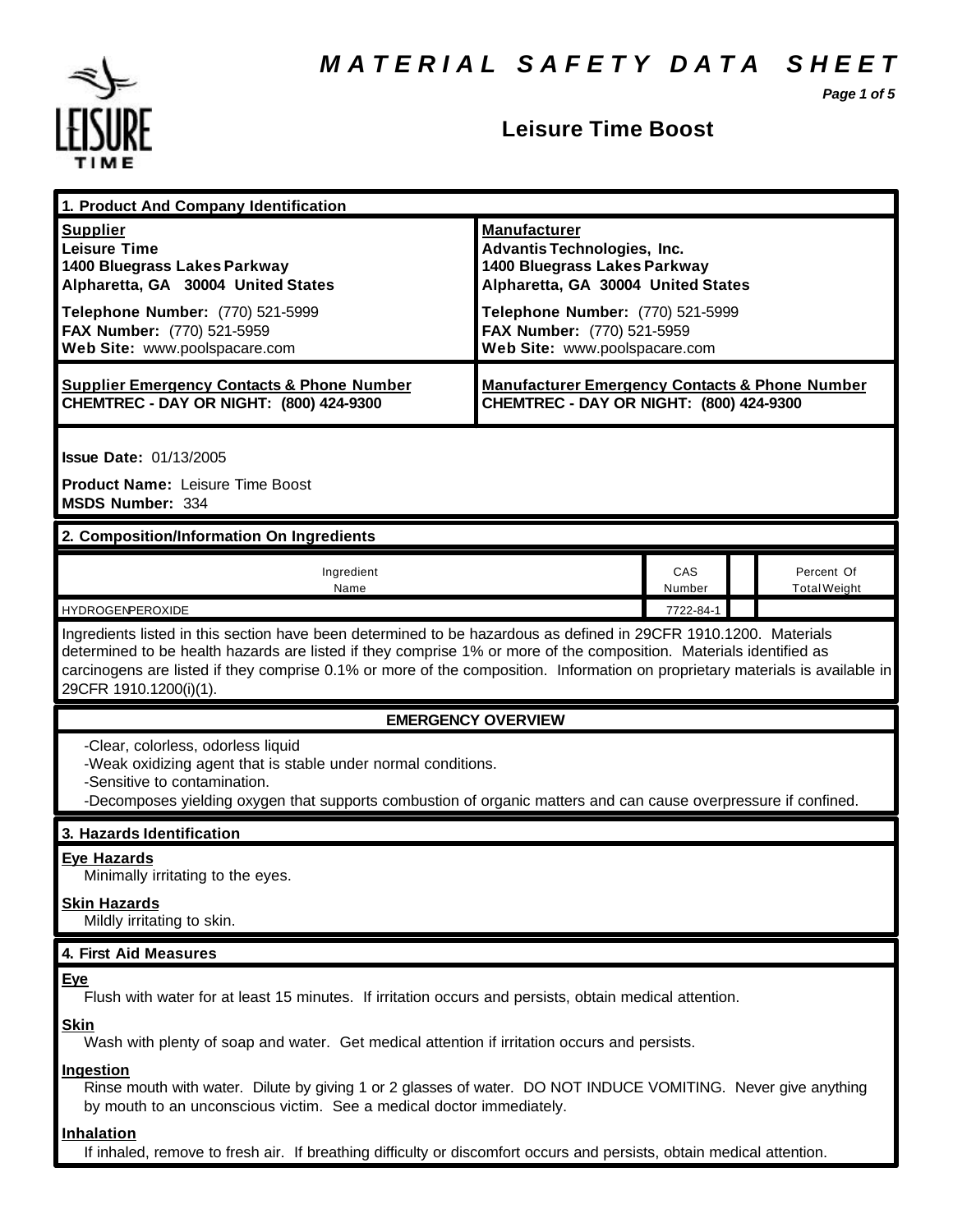*M A T E R I A L S A F E T Y D A T A S H E E T*

*Page 1 of 5*



## **Leisure Time Boost**

| 1. Product And Company Identification                                                                                                                                                                                                                                                                                                                                                             |                                                                                                                                                                                                                                    |     |            |
|---------------------------------------------------------------------------------------------------------------------------------------------------------------------------------------------------------------------------------------------------------------------------------------------------------------------------------------------------------------------------------------------------|------------------------------------------------------------------------------------------------------------------------------------------------------------------------------------------------------------------------------------|-----|------------|
| <b>Supplier</b><br><b>Leisure Time</b><br>1400 Bluegrass Lakes Parkway<br>Alpharetta, GA 30004 United States<br>Telephone Number: (770) 521-5999<br>FAX Number: (770) 521-5959<br>Web Site: www.poolspacare.com                                                                                                                                                                                   | <b>Manufacturer</b><br><b>Advantis Technologies, Inc.</b><br>1400 Bluegrass Lakes Parkway<br>Alpharetta, GA 30004 United States<br>Telephone Number: (770) 521-5999<br>FAX Number: (770) 521-5959<br>Web Site: www.poolspacare.com |     |            |
| <b>Supplier Emergency Contacts &amp; Phone Number</b><br>CHEMTREC - DAY OR NIGHT: (800) 424-9300                                                                                                                                                                                                                                                                                                  | <b>Manufacturer Emergency Contacts &amp; Phone Number</b><br>CHEMTREC - DAY OR NIGHT: (800) 424-9300                                                                                                                               |     |            |
| <b>Issue Date: 01/13/2005</b><br><b>Product Name: Leisure Time Boost</b><br><b>MSDS Number: 334</b>                                                                                                                                                                                                                                                                                               |                                                                                                                                                                                                                                    |     |            |
| 2. Composition/Information On Ingredients                                                                                                                                                                                                                                                                                                                                                         |                                                                                                                                                                                                                                    |     |            |
| Ingredient<br>Name                                                                                                                                                                                                                                                                                                                                                                                |                                                                                                                                                                                                                                    | CAS | Percent Of |
| <b>HYDROGENPEROXIDE</b>                                                                                                                                                                                                                                                                                                                                                                           | <b>Total Weight</b><br>Number<br>7722-84-1                                                                                                                                                                                         |     |            |
| Ingredients listed in this section have been determined to be hazardous as defined in 29CFR 1910.1200. Materials<br>determined to be health hazards are listed if they comprise 1% or more of the composition. Materials identified as<br>carcinogens are listed if they comprise 0.1% or more of the composition. Information on proprietary materials is available in<br>29CFR 1910.1200(i)(1). |                                                                                                                                                                                                                                    |     |            |
| <b>EMERGENCY OVERVIEW</b>                                                                                                                                                                                                                                                                                                                                                                         |                                                                                                                                                                                                                                    |     |            |
| -Clear, colorless, odorless liquid<br>-Weak oxidizing agent that is stable under normal conditions.<br>-Sensitive to contamination.<br>-Decomposes yielding oxygen that supports combustion of organic matters and can cause overpressure if confined.                                                                                                                                            |                                                                                                                                                                                                                                    |     |            |
| 3. Hazards Identification                                                                                                                                                                                                                                                                                                                                                                         |                                                                                                                                                                                                                                    |     |            |
| <b>Eye Hazards</b><br>Minimally irritating to the eyes.                                                                                                                                                                                                                                                                                                                                           |                                                                                                                                                                                                                                    |     |            |
| <b>Skin Hazards</b><br>Mildly irritating to skin.                                                                                                                                                                                                                                                                                                                                                 |                                                                                                                                                                                                                                    |     |            |
| 4. First Aid Measures                                                                                                                                                                                                                                                                                                                                                                             |                                                                                                                                                                                                                                    |     |            |
| <b>Eye</b><br>Flush with water for at least 15 minutes. If irritation occurs and persists, obtain medical attention.                                                                                                                                                                                                                                                                              |                                                                                                                                                                                                                                    |     |            |
| <b>Skin</b><br>Wash with plenty of soap and water. Get medical attention if irritation occurs and persists.                                                                                                                                                                                                                                                                                       |                                                                                                                                                                                                                                    |     |            |
| <b>Ingestion</b><br>Rinse mouth with water. Dilute by giving 1 or 2 glasses of water. DO NOT INDUCE VOMITING. Never give anything<br>by mouth to an unconscious victim. See a medical doctor immediately.                                                                                                                                                                                         |                                                                                                                                                                                                                                    |     |            |
| <b>Inhalation</b><br>If inhaled, remove to fresh air. If breathing difficulty or discomfort occurs and persists, obtain medical attention.                                                                                                                                                                                                                                                        |                                                                                                                                                                                                                                    |     |            |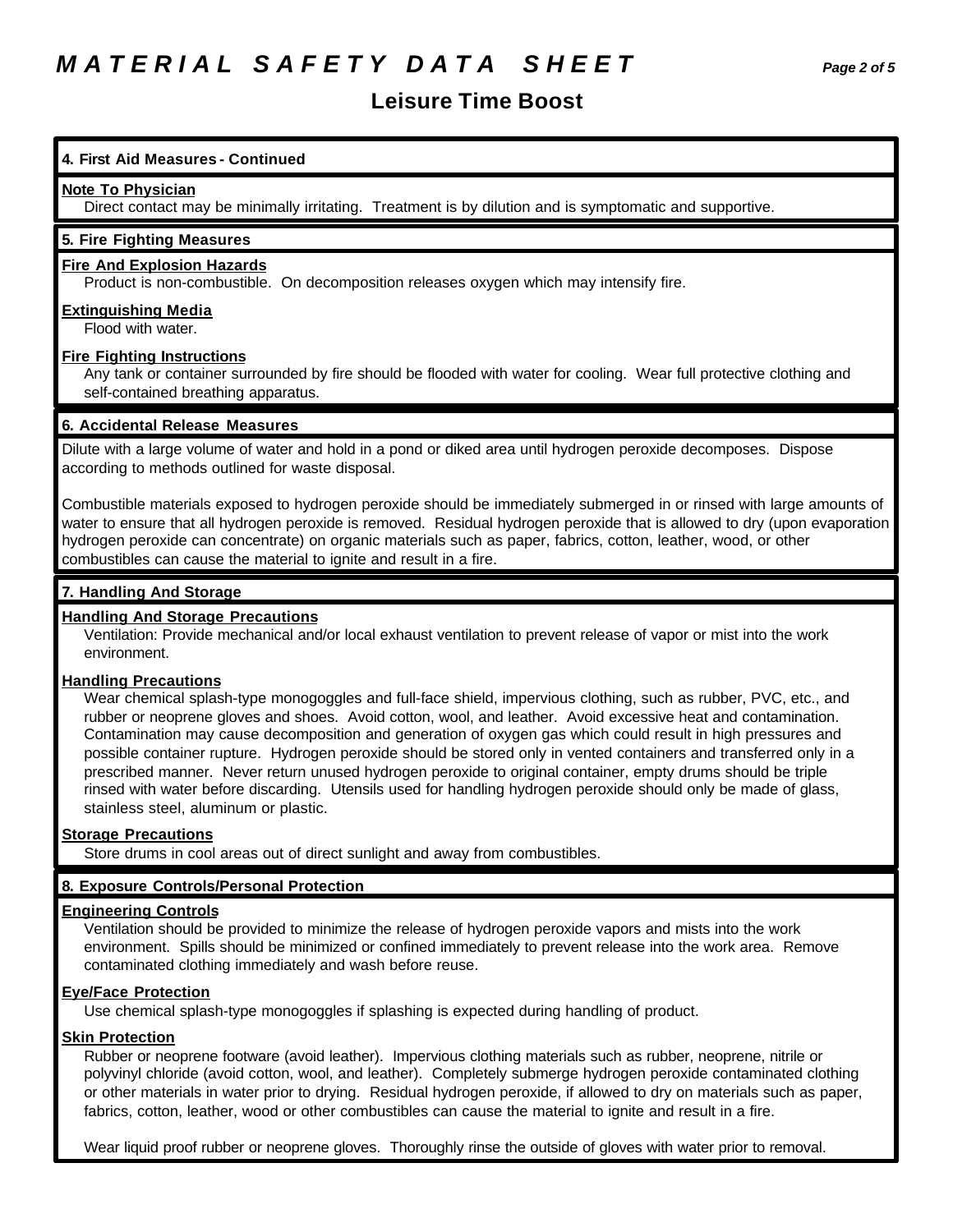## *M A T E R I A L S A F E T Y D A T A S H E E T Page 2 of 5*

### **Leisure Time Boost**

#### **4. First Aid Measures - Continued**

#### **Note To Physician**

Direct contact may be minimally irritating. Treatment is by dilution and is symptomatic and supportive.

#### **5. Fire Fighting Measures**

#### **Fire And Explosion Hazards**

Product is non-combustible. On decomposition releases oxygen which may intensify fire.

#### **Extinguishing Media**

Flood with water.

#### **Fire Fighting Instructions**

Any tank or container surrounded by fire should be flooded with water for cooling. Wear full protective clothing and self-contained breathing apparatus.

#### **6. Accidental Release Measures**

Dilute with a large volume of water and hold in a pond or diked area until hydrogen peroxide decomposes. Dispose according to methods outlined for waste disposal.

Combustible materials exposed to hydrogen peroxide should be immediately submerged in or rinsed with large amounts of water to ensure that all hydrogen peroxide is removed. Residual hydrogen peroxide that is allowed to dry (upon evaporation hydrogen peroxide can concentrate) on organic materials such as paper, fabrics, cotton, leather, wood, or other combustibles can cause the material to ignite and result in a fire.

#### **7. Handling And Storage**

#### **Handling And Storage Precautions**

Ventilation: Provide mechanical and/or local exhaust ventilation to prevent release of vapor or mist into the work environment.

#### **Handling Precautions**

Wear chemical splash-type monogoggles and full-face shield, impervious clothing, such as rubber, PVC, etc., and rubber or neoprene gloves and shoes. Avoid cotton, wool, and leather. Avoid excessive heat and contamination. Contamination may cause decomposition and generation of oxygen gas which could result in high pressures and possible container rupture. Hydrogen peroxide should be stored only in vented containers and transferred only in a prescribed manner. Never return unused hydrogen peroxide to original container, empty drums should be triple rinsed with water before discarding. Utensils used for handling hydrogen peroxide should only be made of glass, stainless steel, aluminum or plastic.

#### **Storage Precautions**

Store drums in cool areas out of direct sunlight and away from combustibles.

#### **8. Exposure Controls/Personal Protection**

#### **Engineering Controls**

Ventilation should be provided to minimize the release of hydrogen peroxide vapors and mists into the work environment. Spills should be minimized or confined immediately to prevent release into the work area. Remove contaminated clothing immediately and wash before reuse.

#### **Eye/Face Protection**

Use chemical splash-type monogoggles if splashing is expected during handling of product.

#### **Skin Protection**

Rubber or neoprene footware (avoid leather). Impervious clothing materials such as rubber, neoprene, nitrile or polyvinyl chloride (avoid cotton, wool, and leather). Completely submerge hydrogen peroxide contaminated clothing or other materials in water prior to drying. Residual hydrogen peroxide, if allowed to dry on materials such as paper, fabrics, cotton, leather, wood or other combustibles can cause the material to ignite and result in a fire.

Wear liquid proof rubber or neoprene gloves. Thoroughly rinse the outside of gloves with water prior to removal.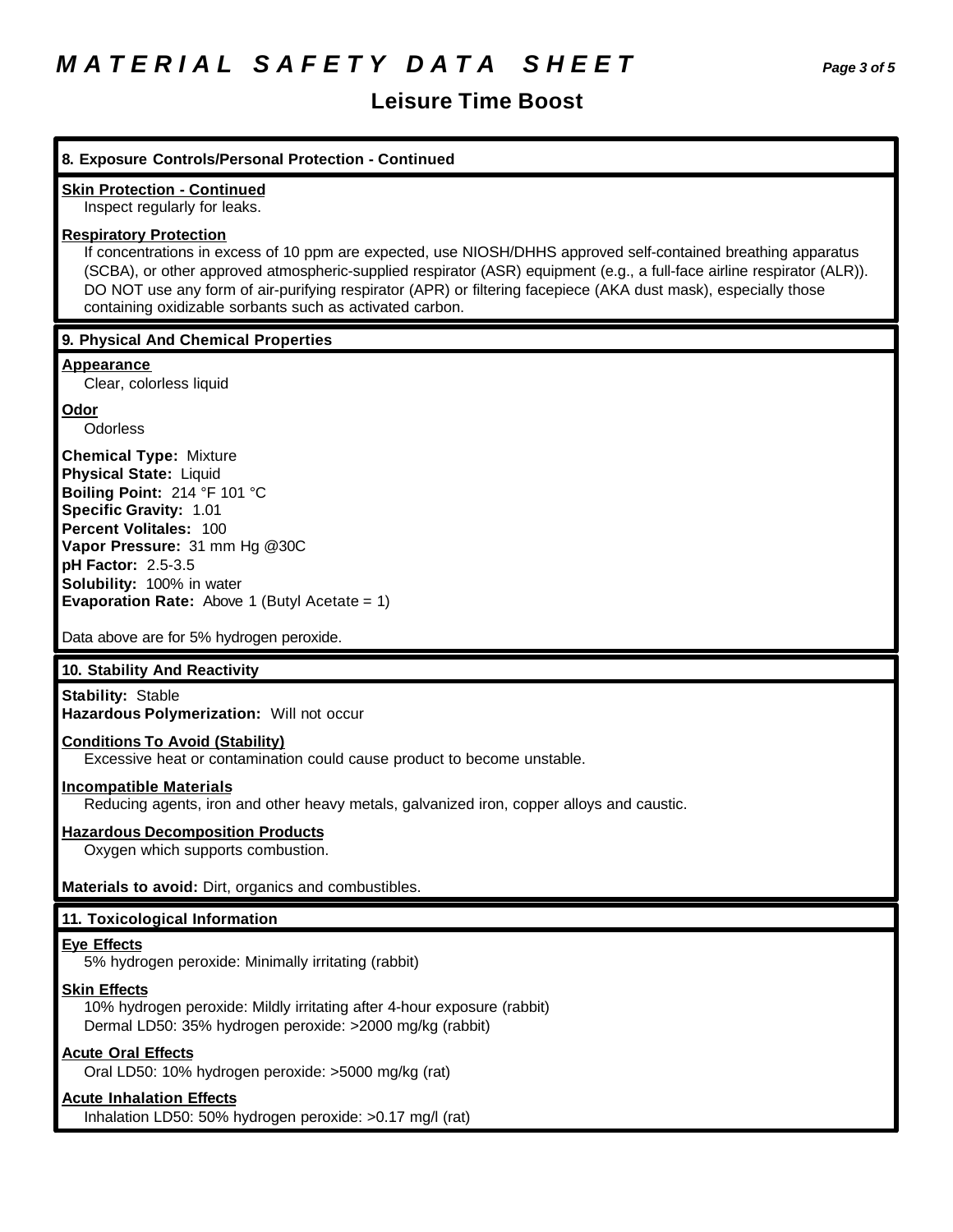## **Leisure Time Boost**

| 8. Exposure Controls/Personal Protection - Continued                                                                                                                                                                                                                                                                                                                                                                                                     |  |
|----------------------------------------------------------------------------------------------------------------------------------------------------------------------------------------------------------------------------------------------------------------------------------------------------------------------------------------------------------------------------------------------------------------------------------------------------------|--|
| <b>Skin Protection - Continued</b>                                                                                                                                                                                                                                                                                                                                                                                                                       |  |
| Inspect regularly for leaks.                                                                                                                                                                                                                                                                                                                                                                                                                             |  |
| <b>Respiratory Protection</b><br>If concentrations in excess of 10 ppm are expected, use NIOSH/DHHS approved self-contained breathing apparatus<br>(SCBA), or other approved atmospheric-supplied respirator (ASR) equipment (e.g., a full-face airline respirator (ALR)).<br>DO NOT use any form of air-purifying respirator (APR) or filtering facepiece (AKA dust mask), especially those<br>containing oxidizable sorbants such as activated carbon. |  |
| 9. Physical And Chemical Properties                                                                                                                                                                                                                                                                                                                                                                                                                      |  |
| <b>Appearance</b>                                                                                                                                                                                                                                                                                                                                                                                                                                        |  |
| Clear, colorless liquid                                                                                                                                                                                                                                                                                                                                                                                                                                  |  |
| <b>Odor</b>                                                                                                                                                                                                                                                                                                                                                                                                                                              |  |
| <b>Odorless</b>                                                                                                                                                                                                                                                                                                                                                                                                                                          |  |
| <b>Chemical Type: Mixture</b>                                                                                                                                                                                                                                                                                                                                                                                                                            |  |
| <b>Physical State: Liquid</b><br>Boiling Point: 214 °F 101 °C                                                                                                                                                                                                                                                                                                                                                                                            |  |
| <b>Specific Gravity: 1.01</b>                                                                                                                                                                                                                                                                                                                                                                                                                            |  |
| Percent Volitales: 100                                                                                                                                                                                                                                                                                                                                                                                                                                   |  |
| Vapor Pressure: 31 mm Hg @30C                                                                                                                                                                                                                                                                                                                                                                                                                            |  |
| pH Factor: 2.5-3.5                                                                                                                                                                                                                                                                                                                                                                                                                                       |  |
| Solubility: 100% in water                                                                                                                                                                                                                                                                                                                                                                                                                                |  |
| <b>Evaporation Rate:</b> Above 1 (Butyl Acetate = $1$ )                                                                                                                                                                                                                                                                                                                                                                                                  |  |
| Data above are for 5% hydrogen peroxide.                                                                                                                                                                                                                                                                                                                                                                                                                 |  |
| 10. Stability And Reactivity                                                                                                                                                                                                                                                                                                                                                                                                                             |  |
| <b>Stability: Stable</b><br>Hazardous Polymerization: Will not occur                                                                                                                                                                                                                                                                                                                                                                                     |  |
| <b>Conditions To Avoid (Stability)</b>                                                                                                                                                                                                                                                                                                                                                                                                                   |  |
| Excessive heat or contamination could cause product to become unstable.                                                                                                                                                                                                                                                                                                                                                                                  |  |
| <b>Incompatible Materials</b>                                                                                                                                                                                                                                                                                                                                                                                                                            |  |
| Reducing agents, iron and other heavy metals, galvanized iron, copper alloys and caustic.                                                                                                                                                                                                                                                                                                                                                                |  |
| <b>Hazardous Decomposition Products</b><br>Oxygen which supports combustion.                                                                                                                                                                                                                                                                                                                                                                             |  |
| Materials to avoid: Dirt, organics and combustibles.                                                                                                                                                                                                                                                                                                                                                                                                     |  |
| 11. Toxicological Information                                                                                                                                                                                                                                                                                                                                                                                                                            |  |
| <b>Eye Effects</b><br>5% hydrogen peroxide: Minimally irritating (rabbit)                                                                                                                                                                                                                                                                                                                                                                                |  |
| <b>Skin Effects</b><br>10% hydrogen peroxide: Mildly irritating after 4-hour exposure (rabbit)<br>Dermal LD50: 35% hydrogen peroxide: >2000 mg/kg (rabbit)                                                                                                                                                                                                                                                                                               |  |
| <b>Acute Oral Effects</b><br>Oral LD50: 10% hydrogen peroxide: >5000 mg/kg (rat)                                                                                                                                                                                                                                                                                                                                                                         |  |

### **Acute Inhalation Effects**

Inhalation LD50: 50% hydrogen peroxide: >0.17 mg/l (rat)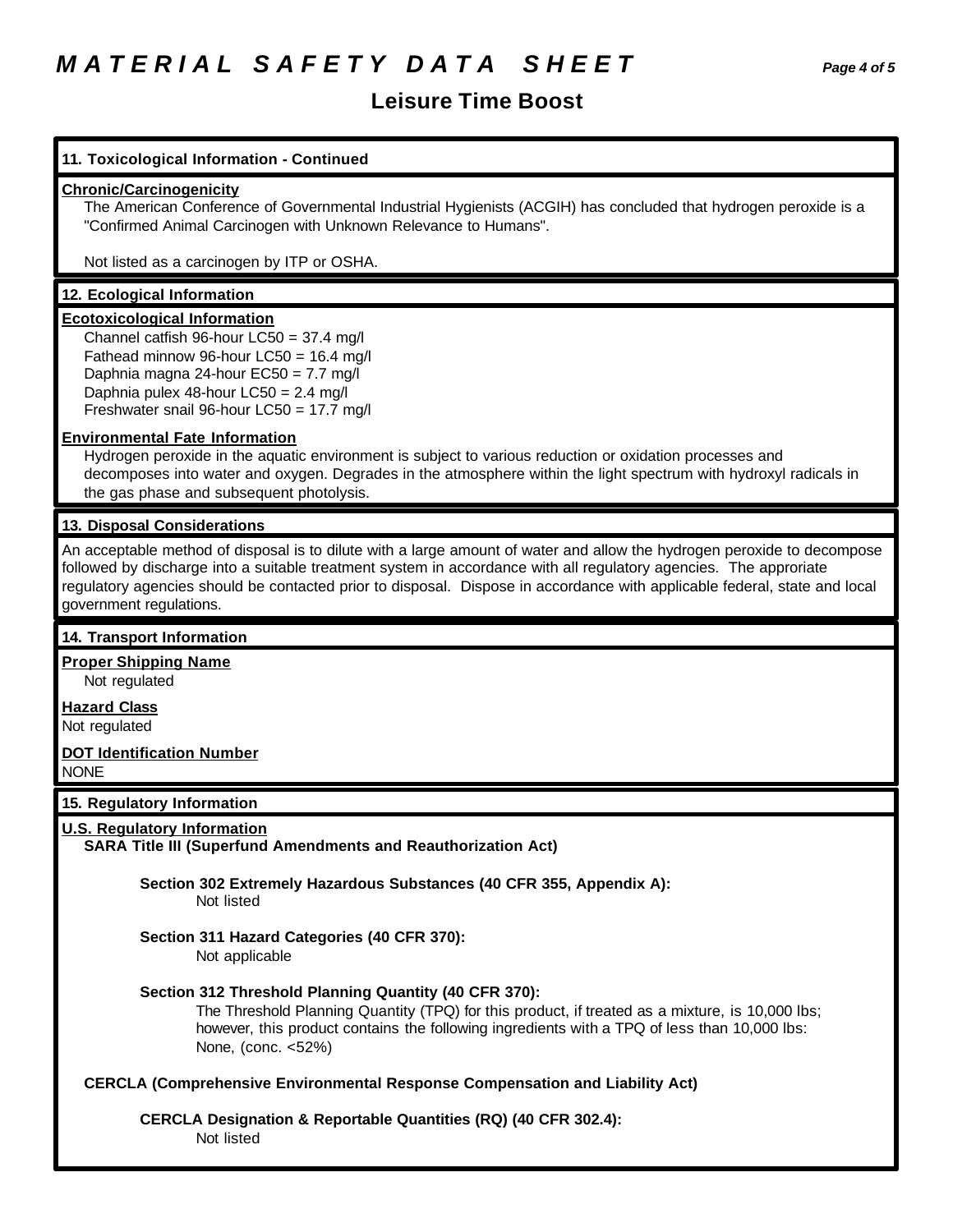## *M A T E R I A L S A F E T Y D A T A S H E E T Page 4 of 5*

### **Leisure Time Boost**

### **11. Toxicological Information - Continued Chronic/Carcinogenicity** The American Conference of Governmental Industrial Hygienists (ACGIH) has concluded that hydrogen peroxide is a "Confirmed Animal Carcinogen with Unknown Relevance to Humans". Not listed as a carcinogen by ITP or OSHA. **12. Ecological Information Ecotoxicological Information** Channel catfish 96-hour LC50 = 37.4 mg/l Fathead minnow 96-hour LC50 = 16.4 mg/l Daphnia magna 24-hour EC50 = 7.7 mg/l Daphnia pulex 48-hour LC50 = 2.4 mg/l Freshwater snail 96-hour LC50 = 17.7 mg/l **Environmental Fate Information** Hydrogen peroxide in the aquatic environment is subject to various reduction or oxidation processes and decomposes into water and oxygen. Degrades in the atmosphere within the light spectrum with hydroxyl radicals in the gas phase and subsequent photolysis. **13. Disposal Considerations** An acceptable method of disposal is to dilute with a large amount of water and allow the hydrogen peroxide to decompose followed by discharge into a suitable treatment system in accordance with all regulatory agencies. The approriate regulatory agencies should be contacted prior to disposal. Dispose in accordance with applicable federal, state and local government regulations. **14. Transport Information Proper Shipping Name** Not regulated **Hazard Class** Not regulated **DOT Identification Number** NONE **15. Regulatory Information U.S. Regulatory Information SARA Title III (Superfund Amendments and Reauthorization Act) Section 302 Extremely Hazardous Substances (40 CFR 355, Appendix A):** Not listed **Section 311 Hazard Categories (40 CFR 370):** Not applicable **Section 312 Threshold Planning Quantity (40 CFR 370):** The Threshold Planning Quantity (TPQ) for this product, if treated as a mixture, is 10,000 lbs; however, this product contains the following ingredients with a TPQ of less than 10,000 lbs: None, (conc. <52%) **CERCLA (Comprehensive Environmental Response Compensation and Liability Act) CERCLA Designation & Reportable Quantities (RQ) (40 CFR 302.4):** Not listed